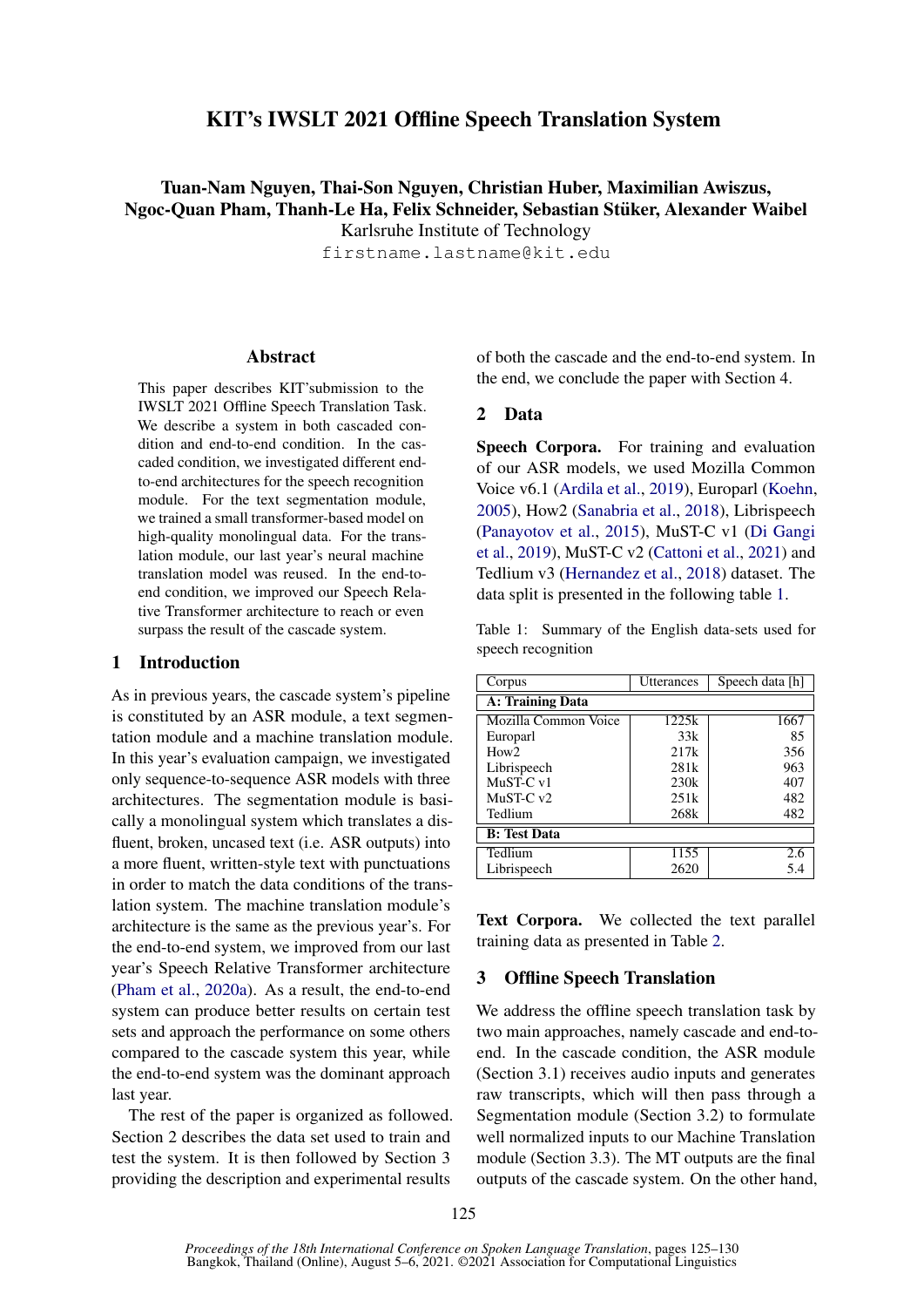# KIT's IWSLT 2021 Offline Speech Translation System

Tuan-Nam Nguyen, Thai-Son Nguyen, Christian Huber, Maximilian Awiszus, Ngoc-Quan Pham, Thanh-Le Ha, Felix Schneider, Sebastian Stuker, Alexander Waibel ¨ Karlsruhe Institute of Technology

firstname.lastname@kit.edu

## Abstract

This paper describes KIT'submission to the IWSLT 2021 Offline Speech Translation Task. We describe a system in both cascaded condition and end-to-end condition. In the cascaded condition, we investigated different endto-end architectures for the speech recognition module. For the text segmentation module, we trained a small transformer-based model on high-quality monolingual data. For the translation module, our last year's neural machine translation model was reused. In the end-toend condition, we improved our Speech Relative Transformer architecture to reach or even surpass the result of the cascade system.

### 1 Introduction

As in previous years, the cascade system's pipeline is constituted by an ASR module, a text segmentation module and a machine translation module. In this year's evaluation campaign, we investigated only sequence-to-sequence ASR models with three architectures. The segmentation module is basically a monolingual system which translates a disfluent, broken, uncased text (i.e. ASR outputs) into a more fluent, written-style text with punctuations in order to match the data conditions of the translation system. The machine translation module's architecture is the same as the previous year's. For the end-to-end system, we improved from our last year's Speech Relative Transformer architecture [\(Pham et al.,](#page-4-0) [2020a\)](#page-4-0). As a result, the end-to-end system can produce better results on certain test sets and approach the performance on some others compared to the cascade system this year, while the end-to-end system was the dominant approach last year.

The rest of the paper is organized as followed. Section 2 describes the data set used to train and test the system. It is then followed by Section 3 providing the description and experimental results

of both the cascade and the end-to-end system. In the end, we conclude the paper with Section 4.

## 2 Data

Speech Corpora. For training and evaluation of our ASR models, we used Mozilla Common Voice v6.1 [\(Ardila et al.,](#page-3-0) [2019\)](#page-3-0), Europarl [\(Koehn,](#page-4-1) [2005\)](#page-4-1), How2 [\(Sanabria et al.,](#page-4-2) [2018\)](#page-4-2), Librispeech [\(Panayotov et al.,](#page-4-3) [2015\)](#page-4-3), MuST-C v1 [\(Di Gangi](#page-4-4) [et al.,](#page-4-4) [2019\)](#page-4-4), MuST-C v2 [\(Cattoni et al.,](#page-3-1) [2021\)](#page-3-1) and Tedlium v3 [\(Hernandez et al.,](#page-4-5) [2018\)](#page-4-5) dataset. The data split is presented in the following table [1.](#page-0-0)

<span id="page-0-0"></span>Table 1: Summary of the English data-sets used for speech recognition

| Corpus               | <b>Utterances</b> | Speech data [h] |  |  |
|----------------------|-------------------|-----------------|--|--|
| A: Training Data     |                   |                 |  |  |
| Mozilla Common Voice | 1225k             | 1667            |  |  |
| Europarl             | 33k               | 85              |  |  |
| How2                 | 217k              | 356             |  |  |
| Librispeech          | 281k              | 963             |  |  |
| MuST-C v1            | 230k              | 407             |  |  |
| $MuST-Cv2$           | 251k              | 482             |  |  |
| Tedlium              | 268k              | 482             |  |  |
| <b>B:</b> Test Data  |                   |                 |  |  |
| Tedlium              | 1155              | 2.6             |  |  |
| Librispeech          | 2620              | 5.4             |  |  |

Text Corpora. We collected the text parallel training data as presented in Table [2.](#page-1-0)

## 3 Offline Speech Translation

We address the offline speech translation task by two main approaches, namely cascade and end-toend. In the cascade condition, the ASR module (Section 3.1) receives audio inputs and generates raw transcripts, which will then pass through a Segmentation module (Section 3.2) to formulate well normalized inputs to our Machine Translation module (Section 3.3). The MT outputs are the final outputs of the cascade system. On the other hand,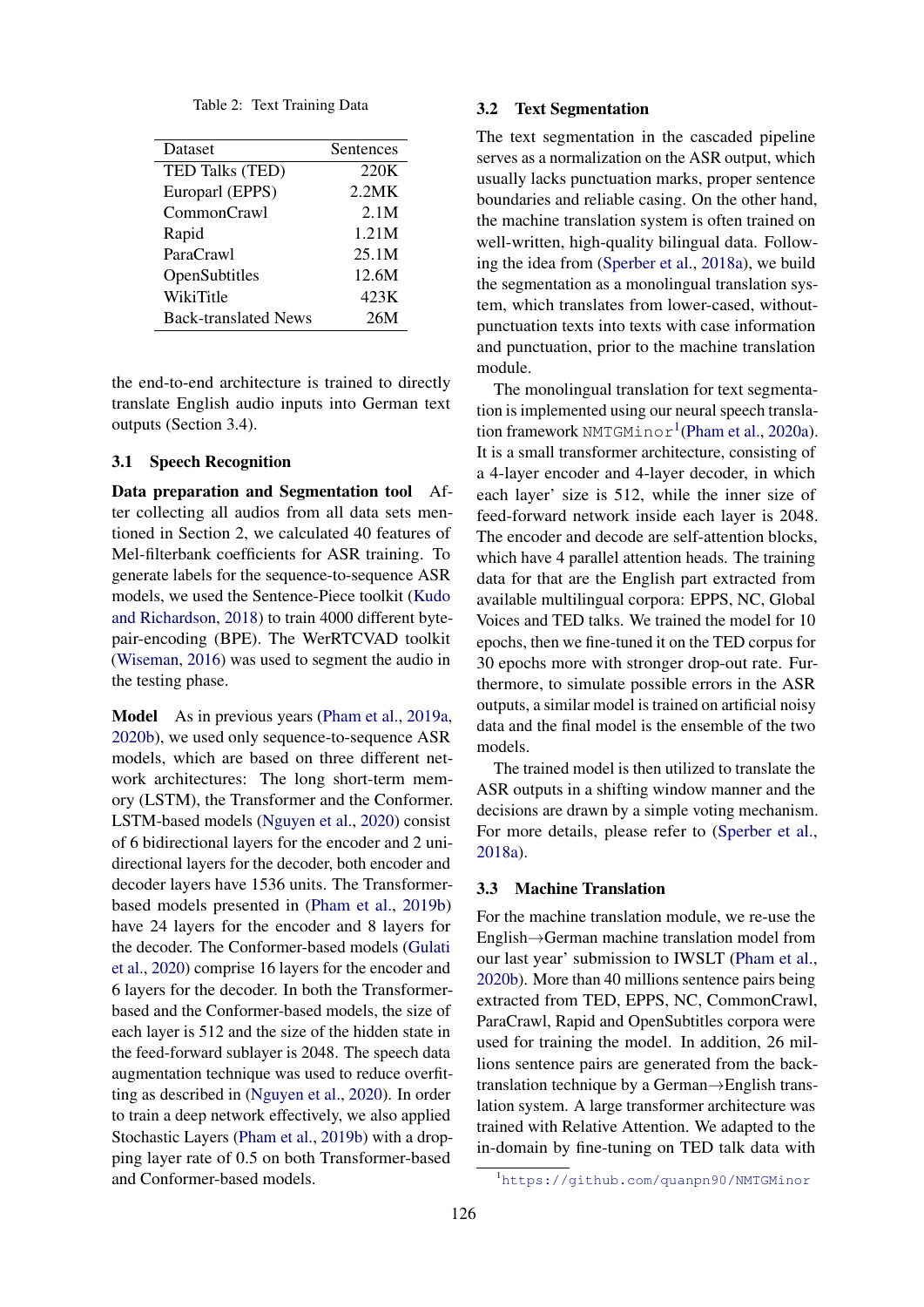Table 2: Text Training Data

<span id="page-1-0"></span>

| Dataset                     | Sentences |
|-----------------------------|-----------|
|                             |           |
| TED Talks (TED)             | 220K      |
| Europarl (EPPS)             | 2.2MK     |
| CommonCrawl                 | 2.1M      |
| Rapid                       | 1.21M     |
| ParaCrawl                   | 25.1M     |
| OpenSubtitles               | 12.6M     |
| WikiTitle                   | 423K      |
| <b>Back-translated News</b> | 26M       |

the end-to-end architecture is trained to directly translate English audio inputs into German text outputs (Section 3.4).

### 3.1 Speech Recognition

Data preparation and Segmentation tool After collecting all audios from all data sets mentioned in Section 2, we calculated 40 features of Mel-filterbank coefficients for ASR training. To generate labels for the sequence-to-sequence ASR models, we used the Sentence-Piece toolkit [\(Kudo](#page-4-6) [and Richardson,](#page-4-6) [2018\)](#page-4-6) to train 4000 different bytepair-encoding (BPE). The WerRTCVAD toolkit [\(Wiseman,](#page-5-0) [2016\)](#page-5-0) was used to segment the audio in the testing phase.

Model As in previous years [\(Pham et al.,](#page-4-7) [2019a,](#page-4-7) [2020b\)](#page-4-8), we used only sequence-to-sequence ASR models, which are based on three different network architectures: The long short-term memory (LSTM), the Transformer and the Conformer. LSTM-based models [\(Nguyen et al.,](#page-4-9) [2020\)](#page-4-9) consist of 6 bidirectional layers for the encoder and 2 unidirectional layers for the decoder, both encoder and decoder layers have 1536 units. The Transformerbased models presented in [\(Pham et al.,](#page-4-10) [2019b\)](#page-4-10) have 24 layers for the encoder and 8 layers for the decoder. The Conformer-based models [\(Gulati](#page-4-11) [et al.,](#page-4-11) [2020\)](#page-4-11) comprise 16 layers for the encoder and 6 layers for the decoder. In both the Transformerbased and the Conformer-based models, the size of each layer is 512 and the size of the hidden state in the feed-forward sublayer is 2048. The speech data augmentation technique was used to reduce overfitting as described in [\(Nguyen et al.,](#page-4-9) [2020\)](#page-4-9). In order to train a deep network effectively, we also applied Stochastic Layers [\(Pham et al.,](#page-4-10) [2019b\)](#page-4-10) with a dropping layer rate of 0.5 on both Transformer-based and Conformer-based models.

### 3.2 Text Segmentation

The text segmentation in the cascaded pipeline serves as a normalization on the ASR output, which usually lacks punctuation marks, proper sentence boundaries and reliable casing. On the other hand, the machine translation system is often trained on well-written, high-quality bilingual data. Following the idea from [\(Sperber et al.,](#page-4-12) [2018a\)](#page-4-12), we build the segmentation as a monolingual translation system, which translates from lower-cased, withoutpunctuation texts into texts with case information and punctuation, prior to the machine translation module.

The monolingual translation for text segmentation is implemented using our neural speech transla-tion framework NMTGMinor<sup>[1](#page-1-1)</sup>[\(Pham et al.,](#page-4-0) [2020a\)](#page-4-0). It is a small transformer architecture, consisting of a 4-layer encoder and 4-layer decoder, in which each layer' size is 512, while the inner size of feed-forward network inside each layer is 2048. The encoder and decode are self-attention blocks, which have 4 parallel attention heads. The training data for that are the English part extracted from available multilingual corpora: EPPS, NC, Global Voices and TED talks. We trained the model for 10 epochs, then we fine-tuned it on the TED corpus for 30 epochs more with stronger drop-out rate. Furthermore, to simulate possible errors in the ASR outputs, a similar model is trained on artificial noisy data and the final model is the ensemble of the two models.

The trained model is then utilized to translate the ASR outputs in a shifting window manner and the decisions are drawn by a simple voting mechanism. For more details, please refer to [\(Sperber et al.,](#page-4-12) [2018a\)](#page-4-12).

#### 3.3 Machine Translation

For the machine translation module, we re-use the English→German machine translation model from our last year' submission to IWSLT [\(Pham et al.,](#page-4-8) [2020b\)](#page-4-8). More than 40 millions sentence pairs being extracted from TED, EPPS, NC, CommonCrawl, ParaCrawl, Rapid and OpenSubtitles corpora were used for training the model. In addition, 26 millions sentence pairs are generated from the backtranslation technique by a German→English translation system. A large transformer architecture was trained with Relative Attention. We adapted to the in-domain by fine-tuning on TED talk data with

<span id="page-1-1"></span><sup>1</sup><https://github.com/quanpn90/NMTGMinor>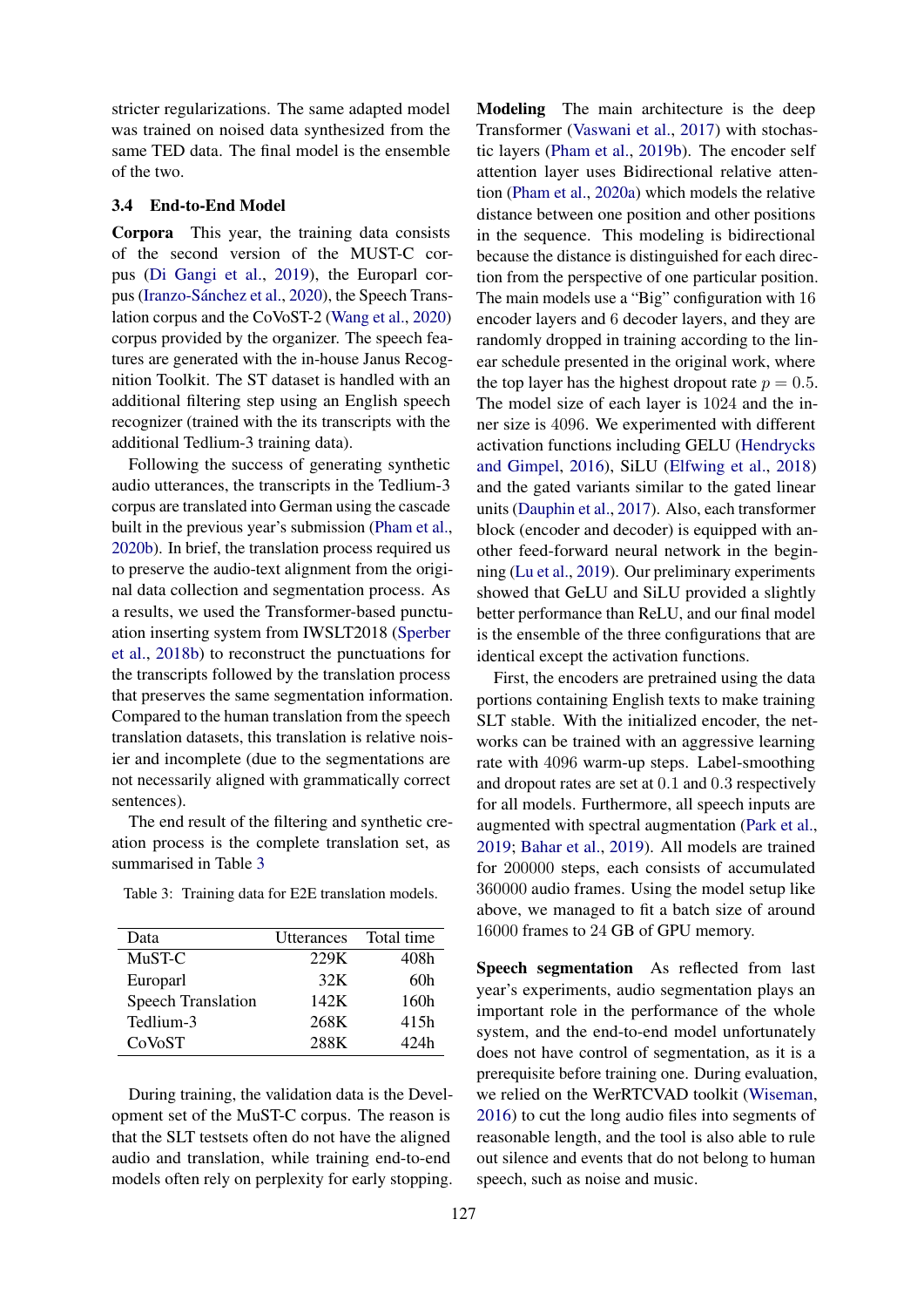stricter regularizations. The same adapted model was trained on noised data synthesized from the same TED data. The final model is the ensemble of the two.

#### 3.4 End-to-End Model

Corpora This year, the training data consists of the second version of the MUST-C corpus [\(Di Gangi et al.,](#page-4-4) [2019\)](#page-4-4), the Europarl cor-pus (Iranzo-Sánchez et al., [2020\)](#page-4-13), the Speech Translation corpus and the CoVoST-2 [\(Wang et al.,](#page-5-1) [2020\)](#page-5-1) corpus provided by the organizer. The speech features are generated with the in-house Janus Recognition Toolkit. The ST dataset is handled with an additional filtering step using an English speech recognizer (trained with the its transcripts with the additional Tedlium-3 training data).

Following the success of generating synthetic audio utterances, the transcripts in the Tedlium-3 corpus are translated into German using the cascade built in the previous year's submission [\(Pham et al.,](#page-4-8) [2020b\)](#page-4-8). In brief, the translation process required us to preserve the audio-text alignment from the original data collection and segmentation process. As a results, we used the Transformer-based punctuation inserting system from IWSLT2018 [\(Sperber](#page-5-2) [et al.,](#page-5-2) [2018b\)](#page-5-2) to reconstruct the punctuations for the transcripts followed by the translation process that preserves the same segmentation information. Compared to the human translation from the speech translation datasets, this translation is relative noisier and incomplete (due to the segmentations are not necessarily aligned with grammatically correct sentences).

The end result of the filtering and synthetic creation process is the complete translation set, as summarised in Table [3](#page-2-0)

<span id="page-2-0"></span>

|  |  |  |  |  | Table 3: Training data for E2E translation models. |  |
|--|--|--|--|--|----------------------------------------------------|--|
|--|--|--|--|--|----------------------------------------------------|--|

| Data                      | Utterances | Total time |
|---------------------------|------------|------------|
| MuST-C                    | 229K       | 408h       |
| Europarl                  | 32K        | 60h        |
| <b>Speech Translation</b> | 142K       | 160h       |
| Tedlium-3                 | 268K       | 415h       |
| CoVoST                    | 288K       | 42.4h      |

During training, the validation data is the Development set of the MuST-C corpus. The reason is that the SLT testsets often do not have the aligned audio and translation, while training end-to-end models often rely on perplexity for early stopping.

Modeling The main architecture is the deep Transformer [\(Vaswani et al.,](#page-5-3) [2017\)](#page-5-3) with stochastic layers [\(Pham et al.,](#page-4-10) [2019b\)](#page-4-10). The encoder self attention layer uses Bidirectional relative attention [\(Pham et al.,](#page-4-0) [2020a\)](#page-4-0) which models the relative distance between one position and other positions in the sequence. This modeling is bidirectional because the distance is distinguished for each direction from the perspective of one particular position. The main models use a "Big" configuration with 16 encoder layers and 6 decoder layers, and they are randomly dropped in training according to the linear schedule presented in the original work, where the top layer has the highest dropout rate  $p = 0.5$ . The model size of each layer is 1024 and the inner size is 4096. We experimented with different activation functions including GELU [\(Hendrycks](#page-4-14) [and Gimpel,](#page-4-14) [2016\)](#page-4-14), SiLU [\(Elfwing et al.,](#page-4-15) [2018\)](#page-4-15) and the gated variants similar to the gated linear units [\(Dauphin et al.,](#page-4-16) [2017\)](#page-4-16). Also, each transformer block (encoder and decoder) is equipped with another feed-forward neural network in the beginning [\(Lu et al.,](#page-4-17) [2019\)](#page-4-17). Our preliminary experiments showed that GeLU and SiLU provided a slightly better performance than ReLU, and our final model is the ensemble of the three configurations that are identical except the activation functions.

First, the encoders are pretrained using the data portions containing English texts to make training SLT stable. With the initialized encoder, the networks can be trained with an aggressive learning rate with 4096 warm-up steps. Label-smoothing and dropout rates are set at 0.1 and 0.3 respectively for all models. Furthermore, all speech inputs are augmented with spectral augmentation [\(Park et al.,](#page-4-18) [2019;](#page-4-18) [Bahar et al.,](#page-3-2) [2019\)](#page-3-2). All models are trained for 200000 steps, each consists of accumulated 360000 audio frames. Using the model setup like above, we managed to fit a batch size of around 16000 frames to 24 GB of GPU memory.

Speech segmentation As reflected from last year's experiments, audio segmentation plays an important role in the performance of the whole system, and the end-to-end model unfortunately does not have control of segmentation, as it is a prerequisite before training one. During evaluation, we relied on the WerRTCVAD toolkit [\(Wiseman,](#page-5-0) [2016\)](#page-5-0) to cut the long audio files into segments of reasonable length, and the tool is also able to rule out silence and events that do not belong to human speech, such as noise and music.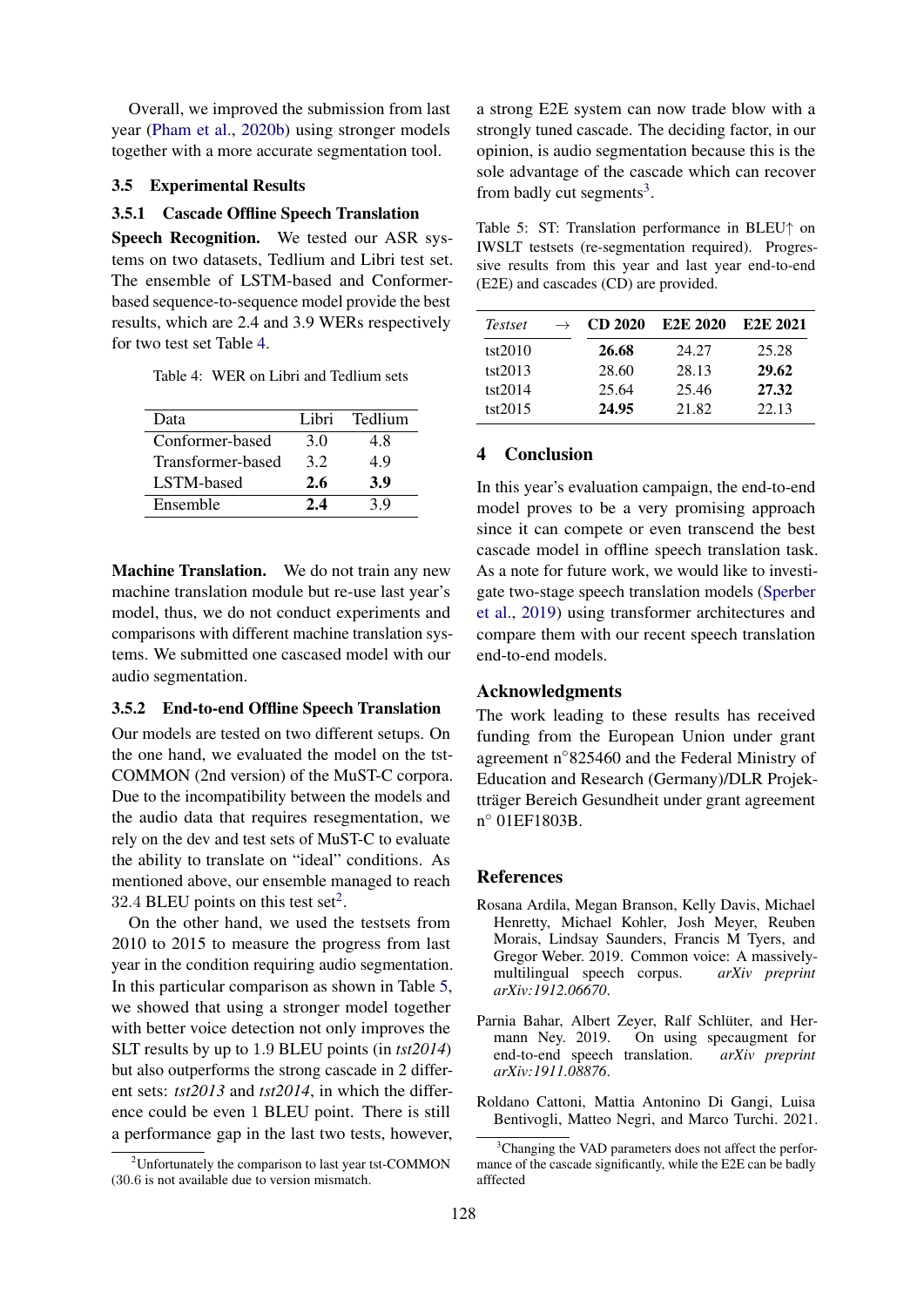Overall, we improved the submission from last year [\(Pham et al.,](#page-4-8) [2020b\)](#page-4-8) using stronger models together with a more accurate segmentation tool.

#### 3.5 Experimental Results

## 3.5.1 Cascade Offline Speech Translation

Speech Recognition. We tested our ASR systems on two datasets, Tedlium and Libri test set. The ensemble of LSTM-based and Conformerbased sequence-to-sequence model provide the best results, which are 2.4 and 3.9 WERs respectively for two test set Table [4.](#page-3-3)

<span id="page-3-3"></span>Table 4: WER on Libri and Tedlium sets

| Lihri. | Tedlium |
|--------|---------|
| 3.0    | 4.8     |
| 32     | 4.9     |
| 2.6    | 3.9     |
| 2.4    | 3 Q     |
|        |         |

Machine Translation. We do not train any new machine translation module but re-use last year's model, thus, we do not conduct experiments and comparisons with different machine translation systems. We submitted one cascased model with our audio segmentation.

## 3.5.2 End-to-end Offline Speech Translation

Our models are tested on two different setups. On the one hand, we evaluated the model on the tst-COMMON (2nd version) of the MuST-C corpora. Due to the incompatibility between the models and the audio data that requires resegmentation, we rely on the dev and test sets of MuST-C to evaluate the ability to translate on "ideal" conditions. As mentioned above, our ensemble managed to reach 3[2](#page-3-4).4 BLEU points on this test set<sup>2</sup>.

On the other hand, we used the testsets from 2010 to 2015 to measure the progress from last year in the condition requiring audio segmentation. In this particular comparison as shown in Table [5,](#page-3-5) we showed that using a stronger model together with better voice detection not only improves the SLT results by up to 1.9 BLEU points (in *tst2014*) but also outperforms the strong cascade in 2 different sets: *tst2013* and *tst2014*, in which the difference could be even 1 BLEU point. There is still a performance gap in the last two tests, however,

a strong E2E system can now trade blow with a strongly tuned cascade. The deciding factor, in our opinion, is audio segmentation because this is the sole advantage of the cascade which can recover from badly cut segments<sup>[3](#page-3-6)</sup>.

<span id="page-3-5"></span>Table 5: ST: Translation performance in BLEU↑ on IWSLT testsets (re-segmentation required). Progressive results from this year and last year end-to-end (E2E) and cascades (CD) are provided.

| <i>Testset</i> | $\rightarrow$ | CD 2020 | E <sub>2</sub> E 2020 | E <sub>2</sub> E 2021 |
|----------------|---------------|---------|-----------------------|-----------------------|
| tst2010        |               | 26.68   | 24.27                 | 25.28                 |
| tst2013        |               | 28.60   | 28.13                 | 29.62                 |
| tst2014        |               | 25.64   | 25.46                 | 27.32                 |
| tst2015        |               | 24.95   | 21.82                 | 22.13                 |

## 4 Conclusion

In this year's evaluation campaign, the end-to-end model proves to be a very promising approach since it can compete or even transcend the best cascade model in offline speech translation task. As a note for future work, we would like to investigate two-stage speech translation models [\(Sperber](#page-4-19) [et al.,](#page-4-19) [2019\)](#page-4-19) using transformer architectures and compare them with our recent speech translation end-to-end models.

## Acknowledgments

The work leading to these results has received funding from the European Union under grant agreement n◦825460 and the Federal Ministry of Education and Research (Germany)/DLR Projektträger Bereich Gesundheit under grant agreement n ◦ 01EF1803B.

#### References

- <span id="page-3-0"></span>Rosana Ardila, Megan Branson, Kelly Davis, Michael Henretty, Michael Kohler, Josh Meyer, Reuben Morais, Lindsay Saunders, Francis M Tyers, and Gregor Weber. 2019. Common voice: A massively-<br>multilingual speech corpus. *arXiv preprint* multilingual speech corpus. *arXiv:1912.06670*.
- <span id="page-3-2"></span>Parnia Bahar, Albert Zeyer, Ralf Schlüter, and Hermann Ney. 2019. On using specaugment for end-to-end speech translation. *arXiv preprint arXiv:1911.08876*.
- <span id="page-3-1"></span>Roldano Cattoni, Mattia Antonino Di Gangi, Luisa Bentivogli, Matteo Negri, and Marco Turchi. 2021.

<span id="page-3-4"></span> $2^2$ Unfortunately the comparison to last year tst-COMMON (30.6 is not available due to version mismatch.

<span id="page-3-6"></span><sup>&</sup>lt;sup>3</sup>Changing the VAD parameters does not affect the performance of the cascade significantly, while the E2E can be badly afffected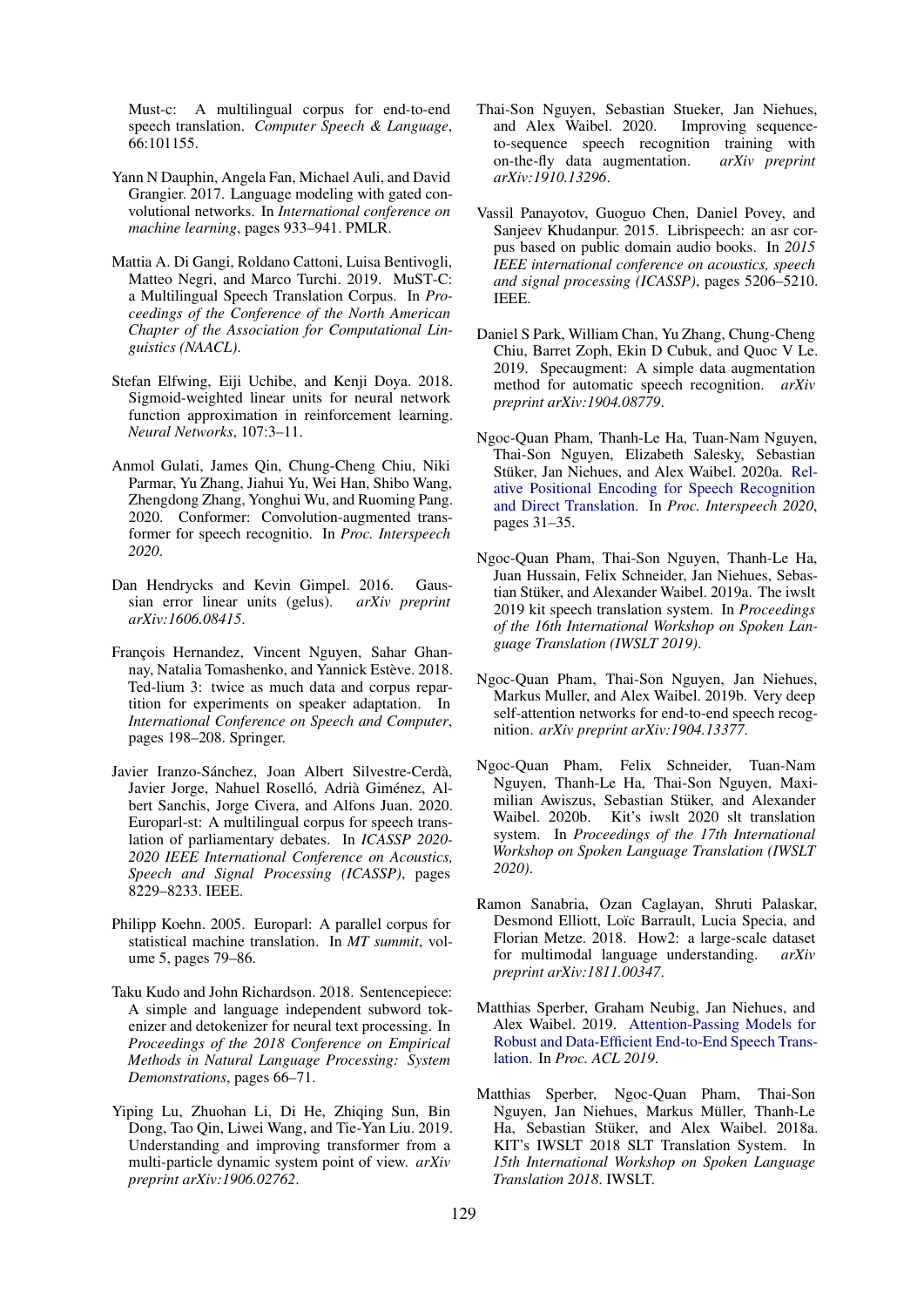Must-c: A multilingual corpus for end-to-end speech translation. *Computer Speech & Language*, 66:101155.

- <span id="page-4-16"></span>Yann N Dauphin, Angela Fan, Michael Auli, and David Grangier. 2017. Language modeling with gated convolutional networks. In *International conference on machine learning*, pages 933–941. PMLR.
- <span id="page-4-4"></span>Mattia A. Di Gangi, Roldano Cattoni, Luisa Bentivogli, Matteo Negri, and Marco Turchi. 2019. MuST-C: a Multilingual Speech Translation Corpus. In *Proceedings of the Conference of the North American Chapter of the Association for Computational Linguistics (NAACL)*.
- <span id="page-4-15"></span>Stefan Elfwing, Eiji Uchibe, and Kenji Doya. 2018. Sigmoid-weighted linear units for neural network function approximation in reinforcement learning. *Neural Networks*, 107:3–11.
- <span id="page-4-11"></span>Anmol Gulati, James Qin, Chung-Cheng Chiu, Niki Parmar, Yu Zhang, Jiahui Yu, Wei Han, Shibo Wang, Zhengdong Zhang, Yonghui Wu, and Ruoming Pang. 2020. Conformer: Convolution-augmented transformer for speech recognitio. In *Proc. Interspeech 2020*.
- <span id="page-4-14"></span>Dan Hendrycks and Kevin Gimpel. 2016. Gaussian error linear units (gelus). *arXiv preprint arXiv:1606.08415*.
- <span id="page-4-5"></span>François Hernandez, Vincent Nguyen, Sahar Ghannay, Natalia Tomashenko, and Yannick Estève. 2018. Ted-lium 3: twice as much data and corpus repartition for experiments on speaker adaptation. In *International Conference on Speech and Computer*, pages 198–208. Springer.
- <span id="page-4-13"></span>Javier Iranzo-Sánchez, Joan Albert Silvestre-Cerdà, Javier Jorge, Nahuel Roselló, Adrià Giménez, Albert Sanchis, Jorge Civera, and Alfons Juan. 2020. Europarl-st: A multilingual corpus for speech translation of parliamentary debates. In *ICASSP 2020- 2020 IEEE International Conference on Acoustics, Speech and Signal Processing (ICASSP)*, pages 8229–8233. IEEE.
- <span id="page-4-1"></span>Philipp Koehn. 2005. Europarl: A parallel corpus for statistical machine translation. In *MT summit*, volume 5, pages 79–86.
- <span id="page-4-6"></span>Taku Kudo and John Richardson. 2018. Sentencepiece: A simple and language independent subword tokenizer and detokenizer for neural text processing. In *Proceedings of the 2018 Conference on Empirical Methods in Natural Language Processing: System Demonstrations*, pages 66–71.
- <span id="page-4-17"></span>Yiping Lu, Zhuohan Li, Di He, Zhiqing Sun, Bin Dong, Tao Qin, Liwei Wang, and Tie-Yan Liu. 2019. Understanding and improving transformer from a multi-particle dynamic system point of view. *arXiv preprint arXiv:1906.02762*.
- <span id="page-4-9"></span>Thai-Son Nguyen, Sebastian Stueker, Jan Niehues, and Alex Waibel. 2020. Improving sequenceto-sequence speech recognition training with on-the-fly data augmentation. *arXiv preprint arXiv:1910.13296*.
- <span id="page-4-3"></span>Vassil Panayotov, Guoguo Chen, Daniel Povey, and Sanjeev Khudanpur. 2015. Librispeech: an asr corpus based on public domain audio books. In *2015 IEEE international conference on acoustics, speech and signal processing (ICASSP)*, pages 5206–5210. IEEE.
- <span id="page-4-18"></span>Daniel S Park, William Chan, Yu Zhang, Chung-Cheng Chiu, Barret Zoph, Ekin D Cubuk, and Quoc V Le. 2019. Specaugment: A simple data augmentation method for automatic speech recognition. *arXiv preprint arXiv:1904.08779*.
- <span id="page-4-0"></span>Ngoc-Quan Pham, Thanh-Le Ha, Tuan-Nam Nguyen, Thai-Son Nguyen, Elizabeth Salesky, Sebastian Stüker, Jan Niehues, and Alex Waibel. 2020a. [Rel](https://doi.org/10.21437/Interspeech.2020-2526)[ative Positional Encoding for Speech Recognition](https://doi.org/10.21437/Interspeech.2020-2526) [and Direct Translation.](https://doi.org/10.21437/Interspeech.2020-2526) In *Proc. Interspeech 2020*, pages 31–35.
- <span id="page-4-7"></span>Ngoc-Quan Pham, Thai-Son Nguyen, Thanh-Le Ha, Juan Hussain, Felix Schneider, Jan Niehues, Sebastian Stüker, and Alexander Waibel. 2019a. The iwslt 2019 kit speech translation system. In *Proceedings of the 16th International Workshop on Spoken Language Translation (IWSLT 2019)*.
- <span id="page-4-10"></span>Ngoc-Quan Pham, Thai-Son Nguyen, Jan Niehues, Markus Muller, and Alex Waibel. 2019b. Very deep self-attention networks for end-to-end speech recognition. *arXiv preprint arXiv:1904.13377*.
- <span id="page-4-8"></span>Ngoc-Quan Pham, Felix Schneider, Tuan-Nam Nguyen, Thanh-Le Ha, Thai-Son Nguyen, Maximilian Awiszus, Sebastian Stüker, and Alexander Waibel. 2020b. Kit's iwslt 2020 slt translation system. In *Proceedings of the 17th International Workshop on Spoken Language Translation (IWSLT 2020)*.
- <span id="page-4-2"></span>Ramon Sanabria, Ozan Caglayan, Shruti Palaskar, Desmond Elliott, Loïc Barrault, Lucia Specia, and Florian Metze. 2018. How2: a large-scale dataset for multimodal language understanding. *arXiv preprint arXiv:1811.00347*.
- <span id="page-4-19"></span>Matthias Sperber, Graham Neubig, Jan Niehues, and Alex Waibel. 2019. [Attention-Passing Models for](https://doi.org/10.1162/tacl_a_00270) [Robust and Data-Efficient End-to-End Speech Trans](https://doi.org/10.1162/tacl_a_00270)[lation.](https://doi.org/10.1162/tacl_a_00270) In *Proc. ACL 2019*.
- <span id="page-4-12"></span>Matthias Sperber, Ngoc-Quan Pham, Thai-Son Nguyen, Jan Niehues, Markus Müller, Thanh-Le Ha, Sebastian Stüker, and Alex Waibel. 2018a. KIT's IWSLT 2018 SLT Translation System. In *15th International Workshop on Spoken Language Translation 2018*. IWSLT.